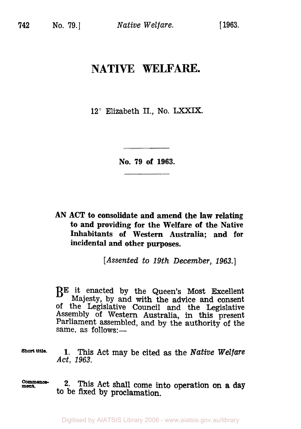## **NATIVE WELFARE.**

12° Elizabeth II., No. **LXXIX.** 

**No. 79 of 1963.** 

**AN ACT to consolidate and amend the law relating to and providing for the Welfare of the Native Inhabitants of Western Australia; and for incidental and other purposes.** 

*[Assented to 19th December,* **1963.]** 

BE it enacted by the Queen's Most Excellent Majesty, by and with the advice and consent of the Legislative Council and the Legislative Assembly **of** Western Australia, in this present Parliament assembled, and by the authority of the same, as  $follows:$ 

**Short title. 1.** This Act may be cited as the *Native Welfare Act, 1963.* 

**ment** *Commence-* **2.** This Act shall come into operation on **a day**  to be fixed by proclamation.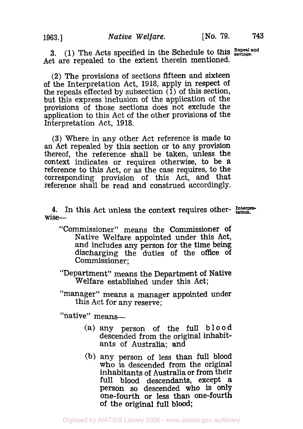3.  $(1)$  The Acts specified in the Schedule to this  $R_{\text{sephans}}$ Act are repealed to the extent therein mentioned.

(2) The provisions of sections fifteen and sixteen of the Interpretation Act, 1918, apply in respect of the repeals effected by subsection  $(1)$  of this section, but this express inclusion of the application of the provisions of those sections does not exclude the application to this Act of the other provisions of the Interpretation Act, 1918.

**(3)** Where in any other Act reference is made to thereof, the reference shall be taken, unless the context indicates or requires otherwise, to be a reference to this Act, or as the case requires, to the corresponding provision of this Act, and that reference shall be read and construed accordingly.

**4.** In this Act unless the context requires other- *Interpretation.* wise-

"Commissioner" means the Commissioner **of**  Native Welfare appointed under this Act, and includes any person for the time being discharging the duties of the office of Commissioner:

"Department" means the Department of Native Welfare established under this Act;

"manager" means a manager appointed under this Act for any reserve;

"native" means-

- (a) any person of the full blood descended from the original inhabitants of Australia; and
- (b) any person of less than full blood who is descended from the original inhabitants of Australia or from their full blood descendants, except a<br>person so descended who is only one-fourth or less than one-fourth of the original full blood;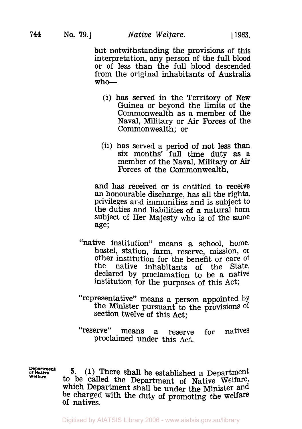but notwithstanding the provisions of this interpretation, any person of the full blood or of less than the full blood descended from the original inhabitants of Australia  $\texttt{who}\texttt{}=\texttt{}$ 

- (i) has served in the Territory of New Guinea or beyond the limits of the Commonwealth as a member of the Naval, Military or Air Forces of the Commonwealth; or
- (ii) has served a period of not less than six months' full time duty **as** a member of the Naval, Military or **Air**  Forces of the Commonwealth,

and has received or is entitled to receive<br>an honourable discharge, has all the rights, privileges and immunities and is subject to the duties and liabilities of a natural born subject of Her Majesty who is of the same age;

- "native institution" means a school, home, hostel, station, farm, reserve, mission, or other institution for the benefit or care of<br>the native inhabitants of the State. native inhabitants of the State, declared by proclamation to be a native institution for the purposes of this Act;
- "representative'' means a person appointed by the Minister pursuant to the provisions of Section twelve of this Act;
- ('reserve" means a reserve for natives proclaimed under this Act.

**Department**  *of* **Native Welfare.** 

**5. (1)** There shall be established a Department to be called the Department **of** Native Welfare, which Department shall be under the Minister and be charged with the duty of promoting the welfare of natives.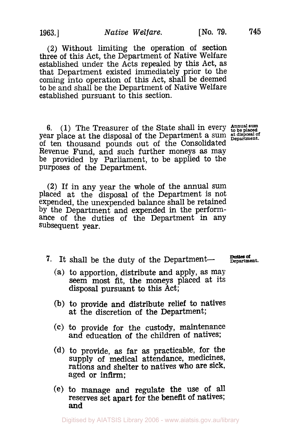**(2)** Without limiting the operation of section three of this Act, the Department of Native Welfare established under the Acts repealed by this Act, as that Department existed immediately prior to the coming into operation of this Act, shall be deemed to be and shall be the Department of Native Welfare established pursuant to this section.

**6.** (1) The Treasurer of the State shall in every  $\frac{A_{\text{n}}}{A_{\text{obs}}}\text{p}_\text{laced}$ year place at the disposal of the Department a sum at disposal of ten thousand pounds out of the Consolidated Revenue Fund, and such further moneys **as** may be provided by Parliament, to be applied to the purposes **of** the Department.

(2) If in any year the whole of the annual sum placed at the disposal of the Department is not expended, the unexpended balance shall be retained by the Department and expended in the performance of the duties of the Department in any subsequent year.

- 7. It shall be the duty of the Department-- **Duties of** Department.
	- (a) to apportion, distribute and apply, as may seem most fit, the moneys placed at its disposal pursuant to this Act;
	- (b) to provide and distribute relief to natives at the discretion of the Department;
	- **(C)** to provide for the custody, maintenance and education of the children of natives;
	- (d) to provide, as far as practicable, for the supply of medical attendance, medicines, rations and shelter to natives who are sick, aged or infirm;
	- (e) to manage and regulate the use of all reserves set apart for the benefit of natives; **and**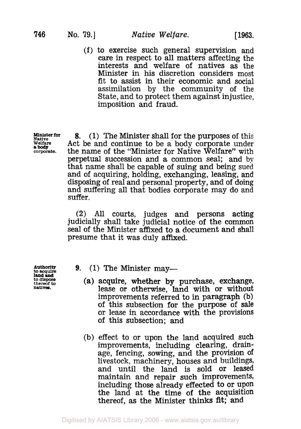(f) to exercise such general supervision and care in respect to all matters affecting the interests and welfare of natives as the Minister in his discretion considers most fit to assist in their economic and social assimilation by the community of the State, and to protect them against injustice, imposition and fraud.

**Native Minister for Welfare**  *corporate.*  **a body** 

**8.** (1) The Minister shall for the purposes of this Act be and continue to be a body corporate under the name of the "Minister for Native Welfare" with perpetual succession and a common seal; and by that name shall be capable of suing and being sued and of acquiring, holding, exchanging, leasing, and and suffering all that bodies corporate may do and suffer.

(2) All courts, judges and persons acting judicially shall take judicial notice of the common seal of the Minister affixed to a document and shall presume that it was duly affixed.

to **thereof dispose to natives. land and** 

- **Authority to acquire 9.** (1) The Minister may-
	- (a) acquire, whether **by** purchase, exchange, lease or otherwise, land with or without improvements referred to in paragraph (b) of this subsection for the purpose of sale or lease in accordance with the provisions of this subsection; and
	- (b) effect to or upon the land acquired such improvements, including clearing, drainage, fencing, sowing, and the provision of livestock, machinery, houses and buildings, and until the land is sold or leased<br>maintain and repair such improvements, including those already effected to or upon the land at the time of the acquisition thereof, as the Minister thinks fit; and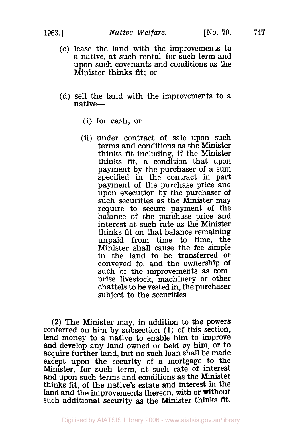- (c) lease the land with the improvements to a native, at such rental, for such term and upon such covenants and conditions as the Minister thinks fit; or
- (d) sell the land with the improvements to *a*  native—
	- (i) for cash; or
	- (ii) under contract of sale upon such terms and conditions as the Minister thinks fit including, if the Minister thinks fit, a condition that upon payment by the purchaser of a sum specified in the contract in part payment of the purchase price and upon execution by the purchaser of<br>such securities as the Minister may require to secure payment of the balance of the purchase price and interest at such rate as the Minister thinks fit on that balance remaining unpaid from time to time, the Minister shall cause the fee simple in the land to be transferred or conveyed to, and the ownership of such of the improvements as comprise livestock, machinery or other chattels to be vested in, the purchaser subject to the securities.

**(2)** The Minister may, in addition to the powers conferred on him by subsection (1) of this section, and develop any land owned or held by him, or to acquire further land, but no such loan shall be made except upon the security of a mortgage to the Minister, for such term, at such rate of interest and upon such terms and conditions as the Minister thinks fit, of the native's estate and interest in the land and the improvements thereon, with or without such additional security as the Minister thinks fit.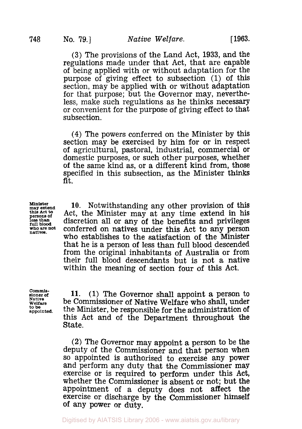(3) The provisions of the Land Act, 1933, and the regulations made under that Act, that are capable of being applied with or without adaptation for the purpose of giving effect to subsection (1) of this section, may be applied with or without adaptation for that purpose; but the Governor may, nevertheless, make such regulations as he thinks necessary or convenient for the purpose of giving effect to that subsection.

**(4)** The powers conferred on the Minister by this of agricultural, pastoral, industrial, commercial or domestic purposes, or such other purposes, whether of the same kind as, or a different kind from, those specified in this subsection, as the Minister thinks fit.

**Minister may extend**  this **Act to persons of less than full blood who** *are* **not natives.** 

**10.** Notwithstanding any other provision of this Act, the Minister may at any time extend in his discretion all or any of the benefits and privileges conferred on natives under this Act to any person who establishes to the satisfaction of the Minister that he is a person of less than full blood descended from the original inhabitants of Australia or from their full blood descendants but is not a native within the meaning of section four of this Act.

**Commis sioner of Native Welfare to be appointed.** 

**11. (1)** The Governor shall appoint a person to be Commissioner of Native Welfare who shall, under the Minister, be responsible for the administration of this Act and of the Department throughout the State.

(2) The Governor may appoint a person to be the deputy of the Commissioner and that person when SO appointed is authorised to exercise any power and perform any duty that the Commissioner may exercise or is required to perform under this Act, whether the Commissioner is absent or not; but the appointment of a deputy does not affect the appointment of a deputy does not exercise or discharge by the Commissioner himself of any power or duty.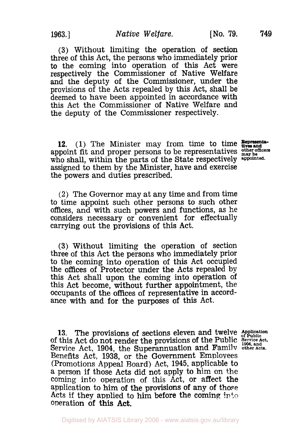**(3)** Without limiting the operation of section three of this Act, the persons who immediately prior to the coming into operation of this Act were respectively the Commissioner of Native Welfare and the deputy of the Commissioner, under the provisions of the Acts repealed by this Act, shall be deemed to have been appointed in accordance with this Act the Commissioner of Native Welfare and the deputy of the Commissioner respectively.

**12. (1)** The Minister may from time to time appoint fit and proper persons to be representatives  $\frac{\text{other on the number of integers}}{\text{my be}}$  who shall, within the parts of the State respectively **appointed**. assigned to them by the Minister, have and exercise the powers and duties prescribed.

(2) The Governor may at any time and from time to time appoint such other persons to such other offices, and with such powers and functions, as he considers necessary or convenient for effectually carrying out the provisions of this Act.

**(3)** Without limiting the operation of section three of this Act the persons who immediately prior<br>to the coming into operation of this Act occupied the offices of Protector under the Acts repealed by this Act shall upon the coming into operation of this Act become, without further appointment, the occupants of the offices of representative in accordance with and for the purposes of this Act.

**13.** The provisions of sections eleven and twelve Application Service Act, 1904, the Superannuation and Family other Acts.<br>Benefits Act, 1938, or the Government Employees (Promotions Appeal Board) Act, 1945, applicable to a person if those Acts did not apply to him on the coming into operation of this Act, or affect the application to him **of** the provisions of any of those Acts if they applied to him before the coming into operation **of** this **Act.**  of this Act do not render the provisions of the Public Service Act.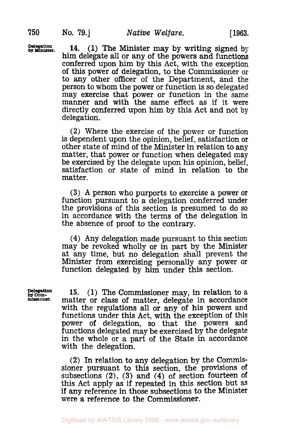**Delegation by Minister. 14.** (1) The Minister may by writing signed by him delegate all or any of the powers and functions conferred upon him by this Act, with the exception of this power of delegation, to the Commissioner or to any other officer of the Department, and the person to whom the power or function is so delegated may exercise that power or function in the same manner and with the same effect as if it were directly conferred upon him by this Act and not by delegation.

> (2) Where the exercise of the power or function is dependent upon the opinion, belief, satisfaction or other state of mind of the Minister in relation to any matter, that power or function when delegated may be exercised by the delegate upon his opinion, belief, satisfaction or state of mind in relation to the matter.

> **(3)** A person who purports to exercise a power or function pursuant to a delegation conferred under the provisions of this section is presumed to do so in accordance with the terms of the delegation in the absence of proof to the contrary.

> **(4)** Any delegation made pursuant to this section may be revoked wholly or in part by the Minister at any time, but no delegation shall prevent the Minister from exercising personally any power or function delegated by him under this section.

**Delegation** *by* **Com-missioner.** 

**15.** (1) The Commissioner may, in relation to a matter or class of matter, delegate in accordance with the regulations all or any of his powers and functions under this Act, with the exception of this power of delegation, so that the powers and functions delegated may be exercised by the delegate<br>in the whole or a part of the State in accordance with the delegation.

(2) In relation to any delegation by the Commissioner pursuant to this section, the provisions of subsections (2), **(3)** and **(4)** of section fourteen of this Act apply as if repeated in this section but as if any reference in those subsections to the Minister were a reference to the Commissioner.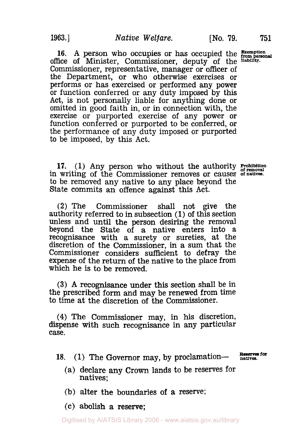16. A person who occupies or has occupied the **Exemption** office of Minister, Commissioner, deputy of the liability. Commissioner, representative, manager or officer of the Department, or who otherwise exercises or performs or has exercised or performed any power or function conferred or any duty imposed by this Act, is not personally liable for anything done or omitted in good faith in, or in connection with, the exercise or purported exercise of any power or function conferred or purported to be conferred, **or**  the performance of any duty imposed or purported to be imposed, by this Act.

**17.** (1) Any person who without the authority **Prohibition** in writing of the Commissioner removes or causes of natives. to be removed any native to any place beyond the State commits an offence against this Act.

(2) The Commissioner shall not give the authority referred to in subsection (1) of this section unless and until the person desiring the removal beyond the State of a native enters into a recognisance with a surety or sureties, at the discretion of the Commissioner, in a sum that the Commissioner considers sufficient to defray the expense of the return of the native to the place from which he is to be removed.

**(3) A** recognisance under this section shall be in the prescribed form and may be renewed from time to time at the discretion of the Commissioner.

**(4)** The Commissioner may, in his discretion, dispense with such recognisance in any particular case.

18. (1) The Governor may, by proclamation- **Reserves for** 

- 
- (a) declare any **Crown** lands to be reserves for natives;
- (b) alter the boundaries **of** a reserve;
- (c) abolish a reserve;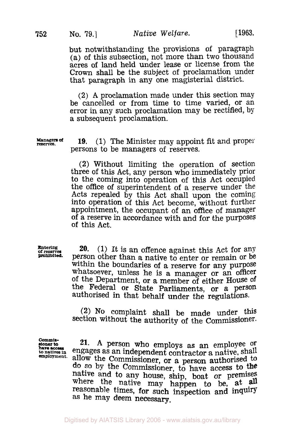but notwithstanding the provisions of paragraph (a) **of** this subsection, not more than two thousand acres of land held under lease or license from the Crown shall be the subject of proclamation under that paragraph in any one magisterial district.

(2) **A** proclamation made under this section may be cancelled or from time to time varied, or an error in any such proclamation may be rectified, by a subsequent proclamation.

**Managers of 19.** (1) The Minister may appoint fit and proper persons to be managers of reserves.

> (2) Without limiting the operation of section three of this Act, any person who immediately prior the office of superintendent of a reserve under the Acts repealed by this Act shall upon the coming into operation of this Act become, without further appointment, the occupant of an office of manager of a reserve in accordance with and for the purposes of this Act.

**Enterlng of reserves prohibited.** 

**20.** (1) It is an offence against this Act for any person other than a native to enter or remain or be within the boundaries of a reserve for any purpose whatsoever, unless he is a manager or an officer of the Department, or a member of either House of the Federal or State Parliaments, or a person authorised in that behalf under the regulations.

**(2) No** complaint shall be made under this section without the authority of the Commissioner.

**Commishave access** 

**sioner** to **21. A** person who employs as an employee Or **that a soccess** engages as an independent contractor a native, shall allow the Commissioner, or a person authorised to do **SO** by the Commissioner, to have access to **the**  native and to any house, ship, boat or premises where the native may happen to be, at all reasonable times, for such inspection and inquiry as he may deem necessary,